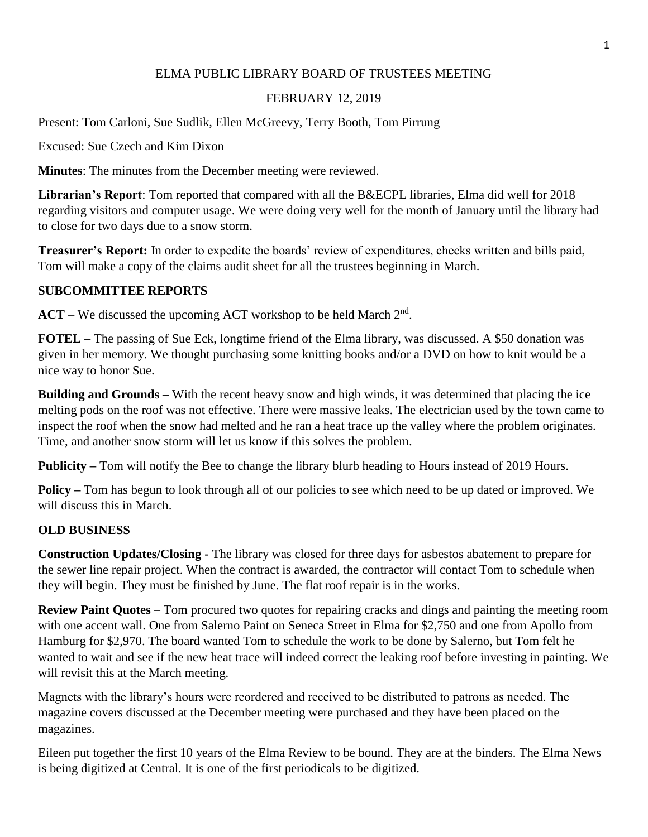# ELMA PUBLIC LIBRARY BOARD OF TRUSTEES MEETING

# FEBRUARY 12, 2019

Present: Tom Carloni, Sue Sudlik, Ellen McGreevy, Terry Booth, Tom Pirrung

Excused: Sue Czech and Kim Dixon

**Minutes**: The minutes from the December meeting were reviewed.

**Librarian's Report**: Tom reported that compared with all the B&ECPL libraries, Elma did well for 2018 regarding visitors and computer usage. We were doing very well for the month of January until the library had to close for two days due to a snow storm.

**Treasurer's Report:** In order to expedite the boards' review of expenditures, checks written and bills paid, Tom will make a copy of the claims audit sheet for all the trustees beginning in March.

# **SUBCOMMITTEE REPORTS**

 $ACT - We discussed the upcoming ACT workshop to be held March  $2<sup>nd</sup>$ .$ 

**FOTEL –** The passing of Sue Eck, longtime friend of the Elma library, was discussed. A \$50 donation was given in her memory. We thought purchasing some knitting books and/or a DVD on how to knit would be a nice way to honor Sue.

**Building and Grounds – With the recent heavy snow and high winds, it was determined that placing the ice** melting pods on the roof was not effective. There were massive leaks. The electrician used by the town came to inspect the roof when the snow had melted and he ran a heat trace up the valley where the problem originates. Time, and another snow storm will let us know if this solves the problem.

**Publicity –** Tom will notify the Bee to change the library blurb heading to Hours instead of 2019 Hours.

**Policy** – Tom has begun to look through all of our policies to see which need to be up dated or improved. We will discuss this in March.

### **OLD BUSINESS**

**Construction Updates/Closing -** The library was closed for three days for asbestos abatement to prepare for the sewer line repair project. When the contract is awarded, the contractor will contact Tom to schedule when they will begin. They must be finished by June. The flat roof repair is in the works.

**Review Paint Quotes** – Tom procured two quotes for repairing cracks and dings and painting the meeting room with one accent wall. One from Salerno Paint on Seneca Street in Elma for \$2,750 and one from Apollo from Hamburg for \$2,970. The board wanted Tom to schedule the work to be done by Salerno, but Tom felt he wanted to wait and see if the new heat trace will indeed correct the leaking roof before investing in painting. We will revisit this at the March meeting.

Magnets with the library's hours were reordered and received to be distributed to patrons as needed. The magazine covers discussed at the December meeting were purchased and they have been placed on the magazines.

Eileen put together the first 10 years of the Elma Review to be bound. They are at the binders. The Elma News is being digitized at Central. It is one of the first periodicals to be digitized.